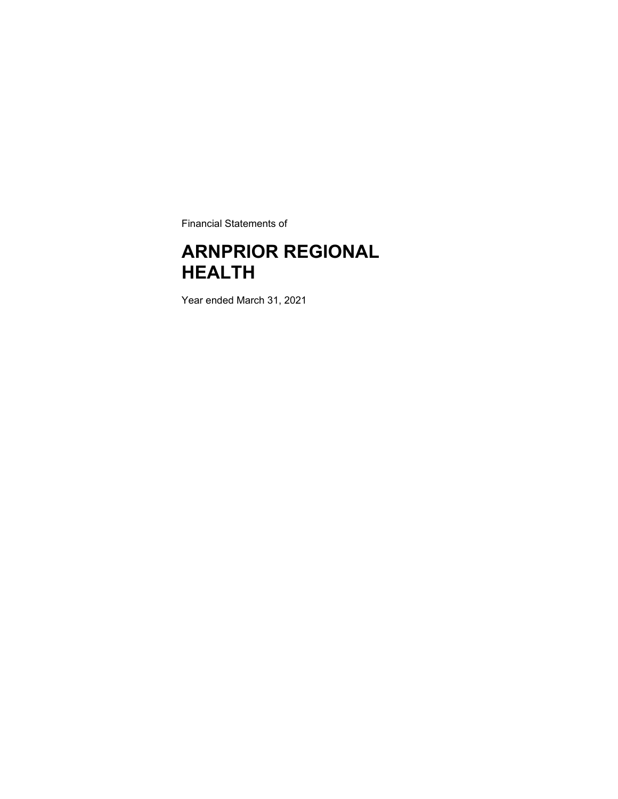Financial Statements of

## **ARNPRIOR REGIONAL HEALTH**

Year ended March 31, 2021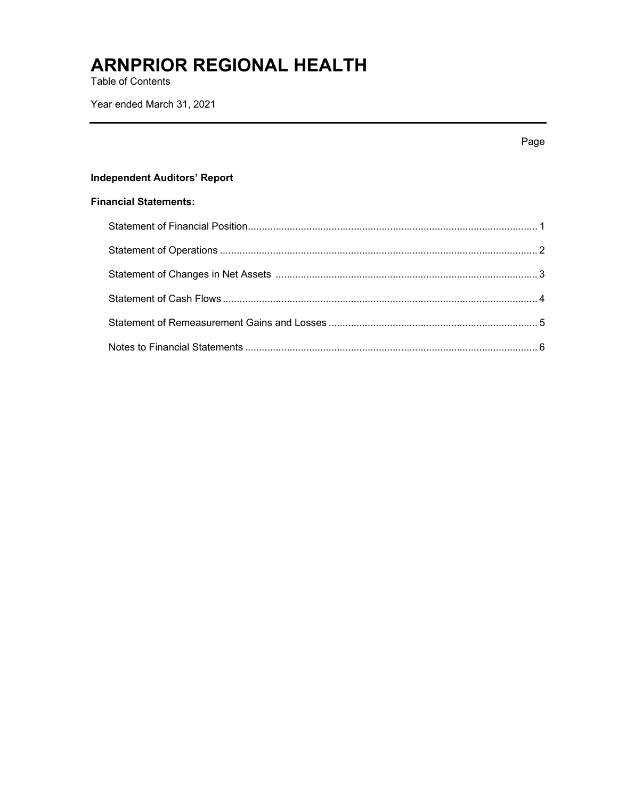Table of Contents

Year ended March 31, 2021

|                                     | Page |
|-------------------------------------|------|
| <b>Independent Auditors' Report</b> |      |
| <b>Financial Statements:</b>        |      |
|                                     |      |
|                                     |      |
|                                     |      |
|                                     |      |
|                                     |      |
|                                     |      |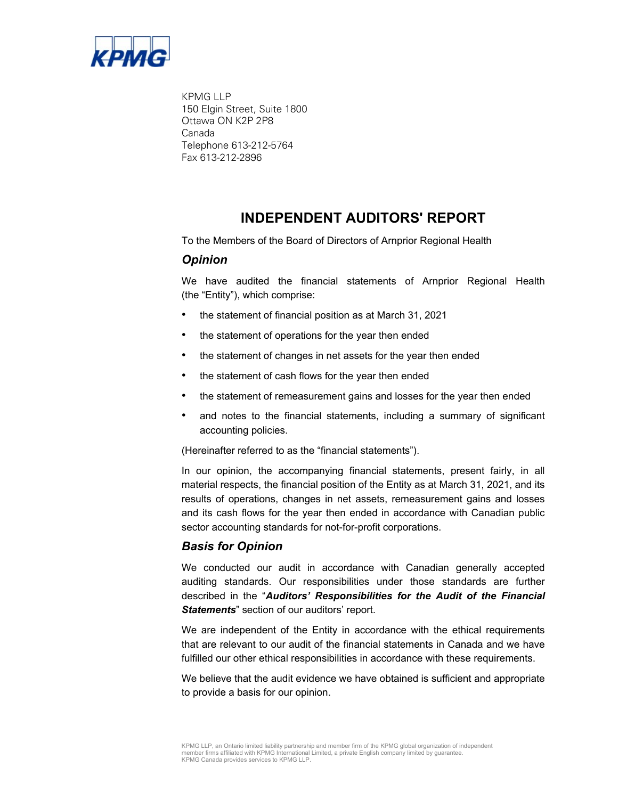

KPMG LLP 150 Elgin Street, Suite 1800 Ottawa ON K2P 2P8 Canada Telephone 613-212-5764 Fax 613-212-2896

### **INDEPENDENT AUDITORS' REPORT**

To the Members of the Board of Directors of Arnprior Regional Health

### *Opinion*

We have audited the financial statements of Arnprior Regional Health (the "Entity"), which comprise:

- the statement of financial position as at March 31, 2021
- the statement of operations for the year then ended
- the statement of changes in net assets for the year then ended
- the statement of cash flows for the year then ended
- the statement of remeasurement gains and losses for the year then ended
- and notes to the financial statements, including a summary of significant accounting policies.

(Hereinafter referred to as the "financial statements").

In our opinion, the accompanying financial statements, present fairly, in all material respects, the financial position of the Entity as at March 31, 2021, and its results of operations, changes in net assets, remeasurement gains and losses and its cash flows for the year then ended in accordance with Canadian public sector accounting standards for not-for-profit corporations.

### *Basis for Opinion*

We conducted our audit in accordance with Canadian generally accepted auditing standards. Our responsibilities under those standards are further described in the "*Auditors' Responsibilities for the Audit of the Financial Statements*" section of our auditors' report.

We are independent of the Entity in accordance with the ethical requirements that are relevant to our audit of the financial statements in Canada and we have fulfilled our other ethical responsibilities in accordance with these requirements.

We believe that the audit evidence we have obtained is sufficient and appropriate to provide a basis for our opinion.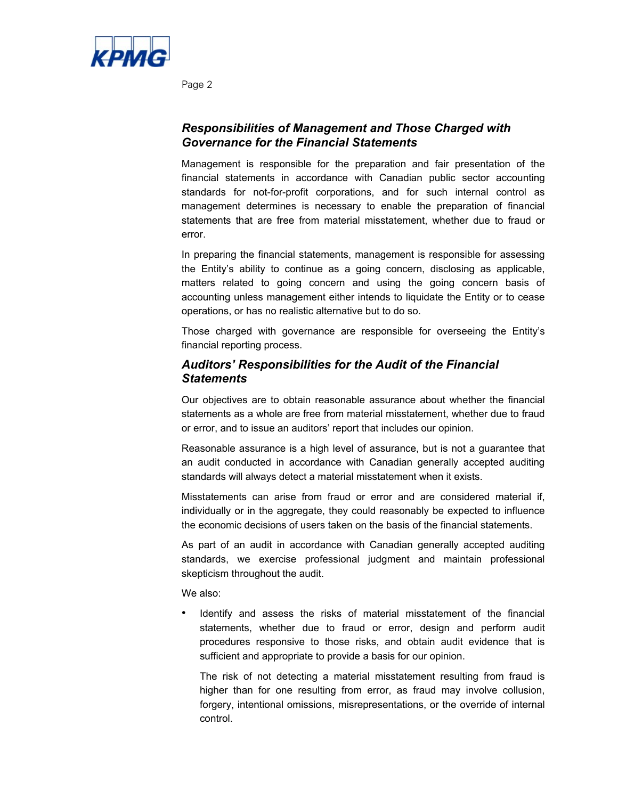

Page 2

### *Responsibilities of Management and Those Charged with Governance for the Financial Statements*

Management is responsible for the preparation and fair presentation of the financial statements in accordance with Canadian public sector accounting standards for not-for-profit corporations, and for such internal control as management determines is necessary to enable the preparation of financial statements that are free from material misstatement, whether due to fraud or error.

In preparing the financial statements, management is responsible for assessing the Entity's ability to continue as a going concern, disclosing as applicable, matters related to going concern and using the going concern basis of accounting unless management either intends to liquidate the Entity or to cease operations, or has no realistic alternative but to do so.

Those charged with governance are responsible for overseeing the Entity's financial reporting process.

### *Auditors' Responsibilities for the Audit of the Financial Statements*

Our objectives are to obtain reasonable assurance about whether the financial statements as a whole are free from material misstatement, whether due to fraud or error, and to issue an auditors' report that includes our opinion.

Reasonable assurance is a high level of assurance, but is not a guarantee that an audit conducted in accordance with Canadian generally accepted auditing standards will always detect a material misstatement when it exists.

Misstatements can arise from fraud or error and are considered material if, individually or in the aggregate, they could reasonably be expected to influence the economic decisions of users taken on the basis of the financial statements.

As part of an audit in accordance with Canadian generally accepted auditing standards, we exercise professional judgment and maintain professional skepticism throughout the audit.

We also:

• Identify and assess the risks of material misstatement of the financial statements, whether due to fraud or error, design and perform audit procedures responsive to those risks, and obtain audit evidence that is sufficient and appropriate to provide a basis for our opinion.

The risk of not detecting a material misstatement resulting from fraud is higher than for one resulting from error, as fraud may involve collusion, forgery, intentional omissions, misrepresentations, or the override of internal control.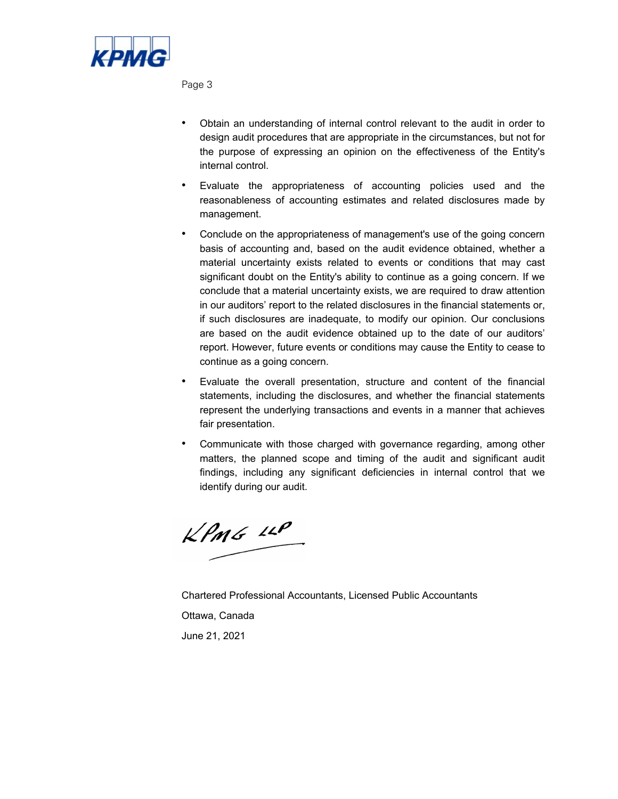

Page 3

- Obtain an understanding of internal control relevant to the audit in order to design audit procedures that are appropriate in the circumstances, but not for the purpose of expressing an opinion on the effectiveness of the Entity's internal control.
- Evaluate the appropriateness of accounting policies used and the reasonableness of accounting estimates and related disclosures made by management.
- Conclude on the appropriateness of management's use of the going concern basis of accounting and, based on the audit evidence obtained, whether a material uncertainty exists related to events or conditions that may cast significant doubt on the Entity's ability to continue as a going concern. If we conclude that a material uncertainty exists, we are required to draw attention in our auditors' report to the related disclosures in the financial statements or, if such disclosures are inadequate, to modify our opinion. Our conclusions are based on the audit evidence obtained up to the date of our auditors' report. However, future events or conditions may cause the Entity to cease to continue as a going concern.
- Evaluate the overall presentation, structure and content of the financial statements, including the disclosures, and whether the financial statements represent the underlying transactions and events in a manner that achieves fair presentation.
- Communicate with those charged with governance regarding, among other matters, the planned scope and timing of the audit and significant audit findings, including any significant deficiencies in internal control that we identify during our audit.

 $KPMG$  11P

Chartered Professional Accountants, Licensed Public Accountants Ottawa, Canada June 21, 2021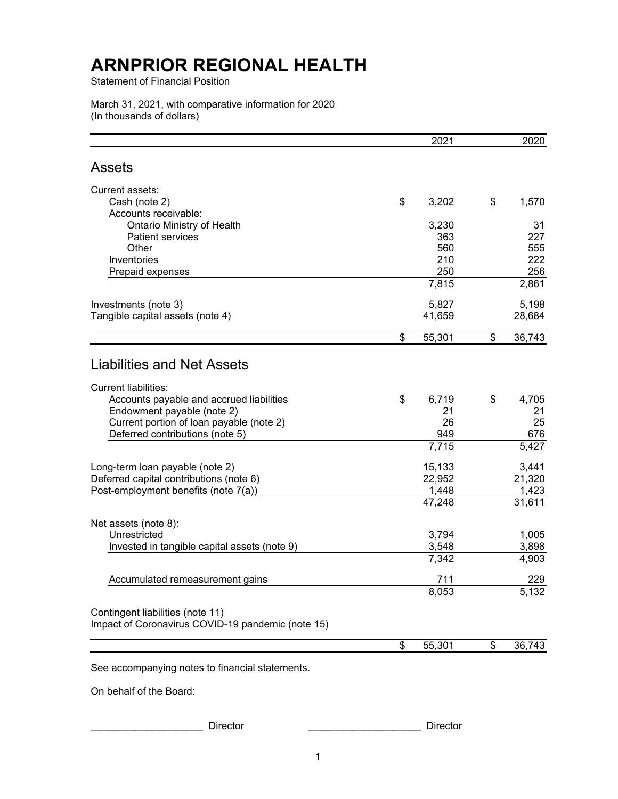Statement of Financial Position

March 31, 2021, with comparative information for 2020 (In thousands of dollars)

|                                                   | 2021         | 2020         |
|---------------------------------------------------|--------------|--------------|
| <b>Assets</b>                                     |              |              |
| Current assets:                                   |              |              |
| Cash (note 2)                                     | \$<br>3,202  | \$<br>1,570  |
| Accounts receivable:                              |              |              |
| Ontario Ministry of Health                        | 3,230        | 31           |
| <b>Patient services</b>                           | 363          | 227          |
| Other                                             | 560          | 555          |
| Inventories<br>Prepaid expenses                   | 210<br>250   | 222<br>256   |
|                                                   | 7,815        | 2,861        |
| Investments (note 3)                              | 5,827        | 5,198        |
| Tangible capital assets (note 4)                  | 41,659       | 28,684       |
|                                                   | \$<br>55,301 | \$<br>36,743 |
|                                                   |              |              |
| <b>Liabilities and Net Assets</b>                 |              |              |
| <b>Current liabilities:</b>                       |              |              |
| Accounts payable and accrued liabilities          | \$<br>6,719  | \$<br>4,705  |
| Endowment payable (note 2)                        | 21           | 21           |
| Current portion of loan payable (note 2)          | 26           | 25           |
| Deferred contributions (note 5)                   | 949          | 676          |
|                                                   | 7,715        | 5,427        |
| Long-term loan payable (note 2)                   | 15,133       | 3,441        |
| Deferred capital contributions (note 6)           | 22,952       | 21,320       |
| Post-employment benefits (note 7(a))              | 1,448        | 1,423        |
|                                                   | 47,248       | 31,611       |
| Net assets (note 8):                              |              |              |
| Unrestricted                                      | 3,794        | 1,005        |
| Invested in tangible capital assets (note 9)      | 3,548        | 3,898        |
|                                                   | 7,342        | 4,903        |
| Accumulated remeasurement gains                   | 711          | 229          |
|                                                   | 8,053        | 5,132        |
| Contingent liabilities (note 11)                  |              |              |
| Impact of Coronavirus COVID-19 pandemic (note 15) |              |              |
|                                                   | \$<br>55,301 | \$<br>36,743 |
|                                                   |              |              |

See accompanying notes to financial statements.

On behalf of the Board:

Director **Executive Director Director**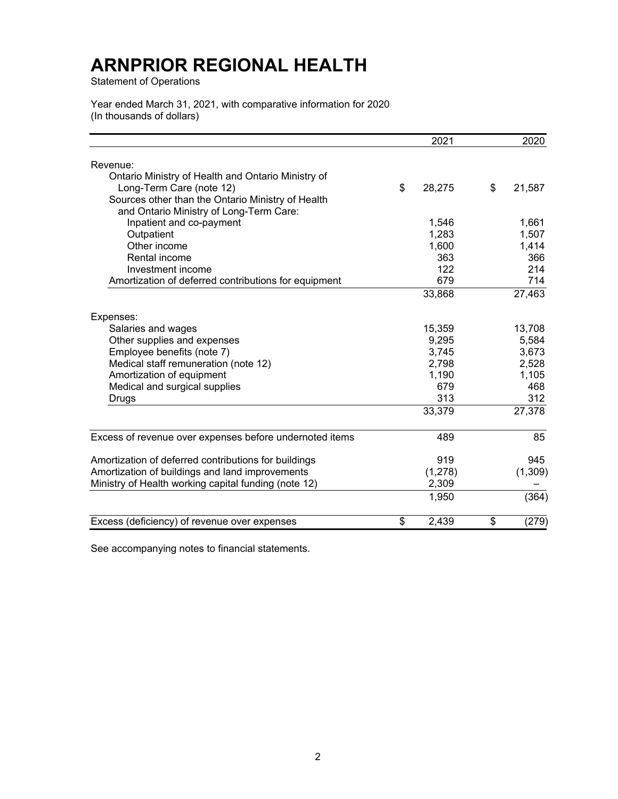Statement of Operations

Year ended March 31, 2021, with comparative information for 2020 (In thousands of dollars)

|                                                         | 2021         | 2020         |
|---------------------------------------------------------|--------------|--------------|
| Revenue:                                                |              |              |
| Ontario Ministry of Health and Ontario Ministry of      |              |              |
| Long-Term Care (note 12)                                | \$<br>28,275 | \$<br>21,587 |
| Sources other than the Ontario Ministry of Health       |              |              |
| and Ontario Ministry of Long-Term Care:                 |              |              |
| Inpatient and co-payment                                | 1,546        | 1,661        |
| Outpatient                                              | 1,283        | 1,507        |
| Other income                                            | 1,600        | 1,414        |
| Rental income                                           | 363          | 366          |
| Investment income                                       | 122          | 214          |
| Amortization of deferred contributions for equipment    | 679          | 714          |
|                                                         | 33,868       | 27,463       |
| Expenses:                                               |              |              |
| Salaries and wages                                      | 15,359       | 13,708       |
| Other supplies and expenses                             | 9,295        | 5,584        |
| Employee benefits (note 7)                              | 3,745        | 3,673        |
| Medical staff remuneration (note 12)                    | 2,798        | 2,528        |
| Amortization of equipment                               | 1,190        | 1,105        |
| Medical and surgical supplies                           | 679          | 468          |
| Drugs                                                   | 313          | 312          |
|                                                         | 33,379       | 27,378       |
| Excess of revenue over expenses before undernoted items | 489          | 85           |
| Amortization of deferred contributions for buildings    | 919          | 945          |
| Amortization of buildings and land improvements         | (1,278)      | (1,309)      |
| Ministry of Health working capital funding (note 12)    | 2,309        |              |
|                                                         | 1,950        | (364)        |
| Excess (deficiency) of revenue over expenses            | \$<br>2,439  | \$<br>(279)  |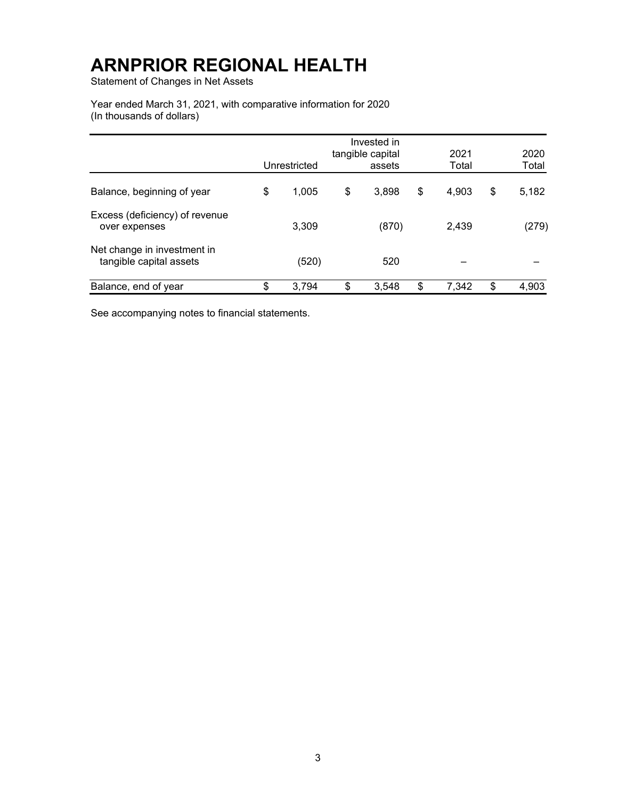Statement of Changes in Net Assets

Year ended March 31, 2021, with comparative information for 2020 (In thousands of dollars)

|                                                        | Unrestricted | Invested in<br>tangible capital<br>assets | 2021<br>Total | 2020<br>Total |
|--------------------------------------------------------|--------------|-------------------------------------------|---------------|---------------|
| Balance, beginning of year                             | \$<br>1,005  | \$<br>3,898                               | \$<br>4,903   | \$<br>5,182   |
| Excess (deficiency) of revenue<br>over expenses        | 3,309        | (870)                                     | 2,439         | (279)         |
| Net change in investment in<br>tangible capital assets | (520)        | 520                                       |               |               |
| Balance, end of year                                   | \$<br>3,794  | \$<br>3,548                               | \$<br>7,342   | \$<br>4,903   |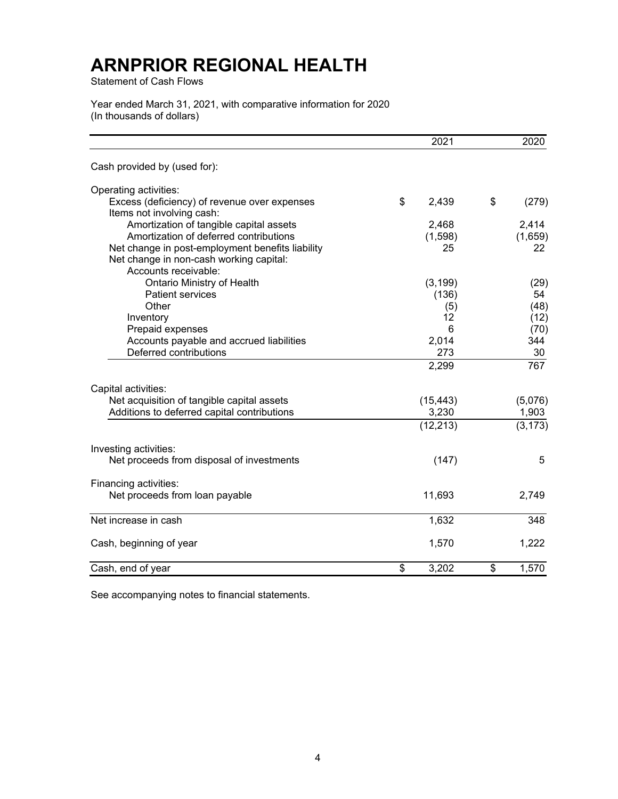Statement of Cash Flows

Year ended March 31, 2021, with comparative information for 2020 (In thousands of dollars)

|                                                  | 2021        | 2020                 |
|--------------------------------------------------|-------------|----------------------|
| Cash provided by (used for):                     |             |                      |
| Operating activities:                            |             |                      |
| Excess (deficiency) of revenue over expenses     | \$<br>2,439 | \$<br>(279)          |
| Items not involving cash:                        |             |                      |
| Amortization of tangible capital assets          | 2,468       | 2,414                |
| Amortization of deferred contributions           | (1,598)     | (1,659)              |
| Net change in post-employment benefits liability | 25          | 22                   |
| Net change in non-cash working capital:          |             |                      |
| Accounts receivable:                             |             |                      |
| Ontario Ministry of Health                       | (3, 199)    | (29)                 |
| <b>Patient services</b>                          | (136)       | 54                   |
| Other                                            | (5)         | (48)                 |
| Inventory                                        | 12          | (12)                 |
| Prepaid expenses                                 | 6           | (70)                 |
| Accounts payable and accrued liabilities         | 2,014       | 344                  |
| Deferred contributions                           | 273         | 30                   |
|                                                  | 2,299       | 767                  |
| Capital activities:                              |             |                      |
| Net acquisition of tangible capital assets       | (15, 443)   | (5,076)              |
| Additions to deferred capital contributions      | 3,230       | 1,903                |
|                                                  | (12, 213)   | $\overline{(3,173)}$ |
| Investing activities:                            |             |                      |
| Net proceeds from disposal of investments        | (147)       | 5                    |
| Financing activities:                            |             |                      |
| Net proceeds from loan payable                   | 11,693      | 2,749                |
| Net increase in cash                             | 1,632       | 348                  |
| Cash, beginning of year                          | 1,570       | 1,222                |
|                                                  |             |                      |
| Cash, end of year                                | \$<br>3,202 | \$<br>1,570          |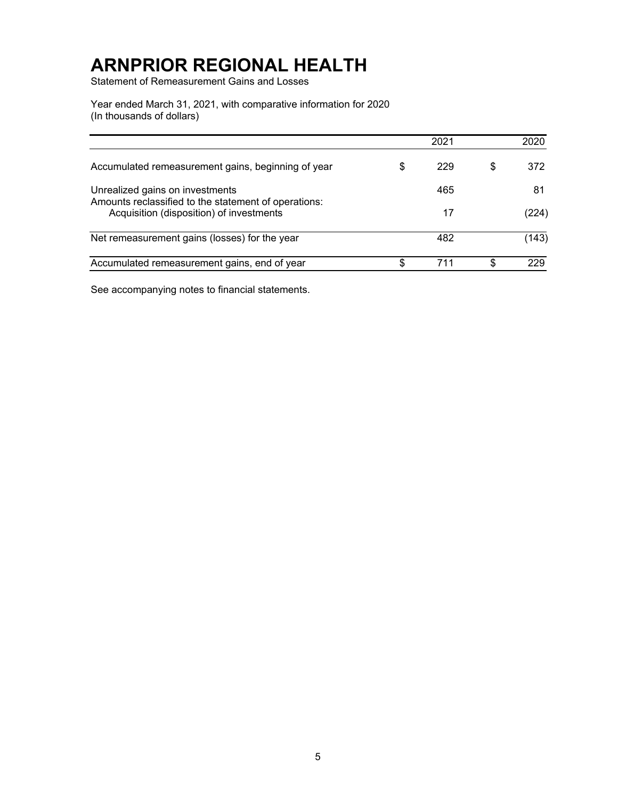Statement of Remeasurement Gains and Losses

Year ended March 31, 2021, with comparative information for 2020 (In thousands of dollars)

|                                                                                                  |   | 2021 |   | 2020  |
|--------------------------------------------------------------------------------------------------|---|------|---|-------|
| Accumulated remeasurement gains, beginning of year                                               | S | 229  | S | 372   |
| Unrealized gains on investments                                                                  |   | 465  |   | 81    |
| Amounts reclassified to the statement of operations:<br>Acquisition (disposition) of investments |   | 17   |   | (224) |
| Net remeasurement gains (losses) for the year                                                    |   | 482  |   | (143) |
| Accumulated remeasurement gains, end of year                                                     |   | 711  | S | 229   |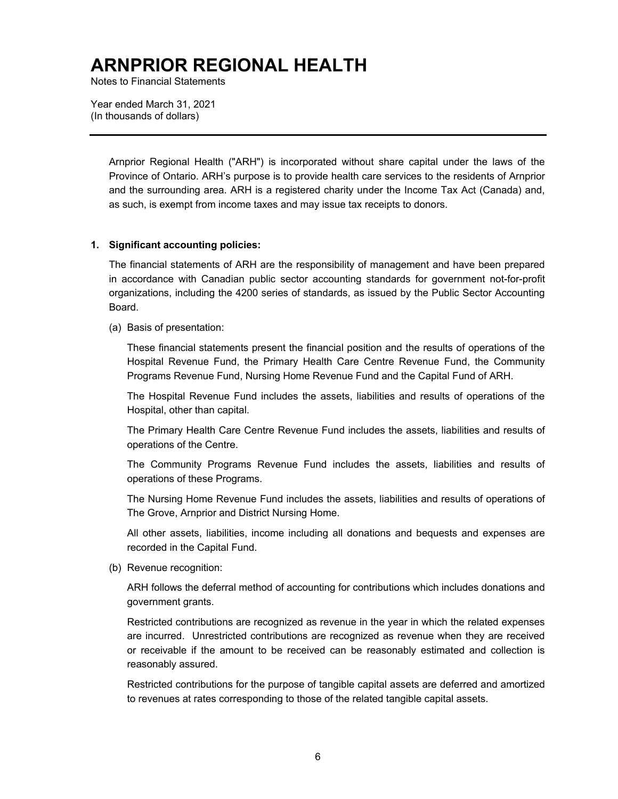Notes to Financial Statements

Year ended March 31, 2021 (In thousands of dollars)

> Arnprior Regional Health ("ARH") is incorporated without share capital under the laws of the Province of Ontario. ARH's purpose is to provide health care services to the residents of Arnprior and the surrounding area. ARH is a registered charity under the Income Tax Act (Canada) and, as such, is exempt from income taxes and may issue tax receipts to donors.

#### **1. Significant accounting policies:**

The financial statements of ARH are the responsibility of management and have been prepared in accordance with Canadian public sector accounting standards for government not-for-profit organizations, including the 4200 series of standards, as issued by the Public Sector Accounting Board.

(a) Basis of presentation:

These financial statements present the financial position and the results of operations of the Hospital Revenue Fund, the Primary Health Care Centre Revenue Fund, the Community Programs Revenue Fund, Nursing Home Revenue Fund and the Capital Fund of ARH.

The Hospital Revenue Fund includes the assets, liabilities and results of operations of the Hospital, other than capital.

The Primary Health Care Centre Revenue Fund includes the assets, liabilities and results of operations of the Centre.

The Community Programs Revenue Fund includes the assets, liabilities and results of operations of these Programs.

The Nursing Home Revenue Fund includes the assets, liabilities and results of operations of The Grove, Arnprior and District Nursing Home.

All other assets, liabilities, income including all donations and bequests and expenses are recorded in the Capital Fund.

(b) Revenue recognition:

ARH follows the deferral method of accounting for contributions which includes donations and government grants.

Restricted contributions are recognized as revenue in the year in which the related expenses are incurred. Unrestricted contributions are recognized as revenue when they are received or receivable if the amount to be received can be reasonably estimated and collection is reasonably assured.

Restricted contributions for the purpose of tangible capital assets are deferred and amortized to revenues at rates corresponding to those of the related tangible capital assets.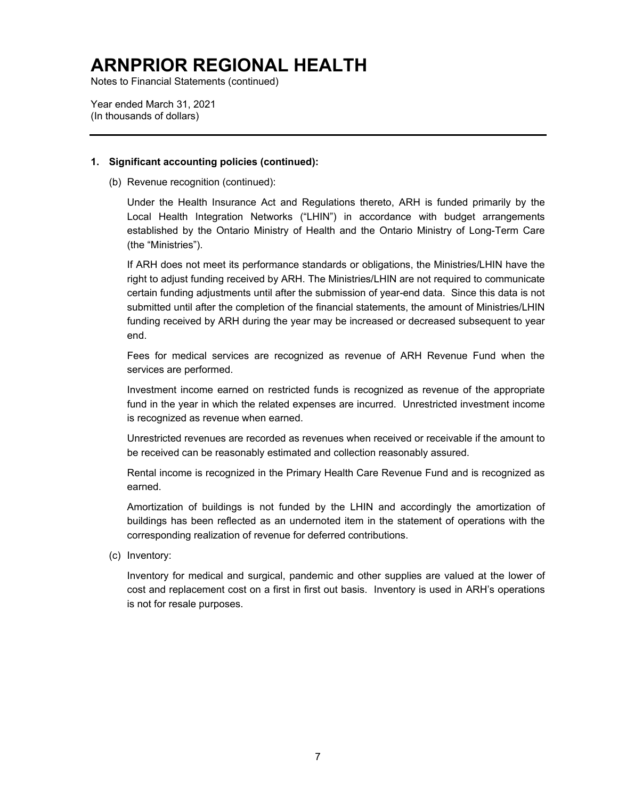Notes to Financial Statements (continued)

Year ended March 31, 2021 (In thousands of dollars)

#### **1. Significant accounting policies (continued):**

(b) Revenue recognition (continued):

Under the Health Insurance Act and Regulations thereto, ARH is funded primarily by the Local Health Integration Networks ("LHIN") in accordance with budget arrangements established by the Ontario Ministry of Health and the Ontario Ministry of Long-Term Care (the "Ministries").

If ARH does not meet its performance standards or obligations, the Ministries/LHIN have the right to adjust funding received by ARH. The Ministries/LHIN are not required to communicate certain funding adjustments until after the submission of year-end data. Since this data is not submitted until after the completion of the financial statements, the amount of Ministries/LHIN funding received by ARH during the year may be increased or decreased subsequent to year end.

Fees for medical services are recognized as revenue of ARH Revenue Fund when the services are performed.

Investment income earned on restricted funds is recognized as revenue of the appropriate fund in the year in which the related expenses are incurred. Unrestricted investment income is recognized as revenue when earned.

Unrestricted revenues are recorded as revenues when received or receivable if the amount to be received can be reasonably estimated and collection reasonably assured.

Rental income is recognized in the Primary Health Care Revenue Fund and is recognized as earned.

Amortization of buildings is not funded by the LHIN and accordingly the amortization of buildings has been reflected as an undernoted item in the statement of operations with the corresponding realization of revenue for deferred contributions.

(c) Inventory:

Inventory for medical and surgical, pandemic and other supplies are valued at the lower of cost and replacement cost on a first in first out basis. Inventory is used in ARH's operations is not for resale purposes.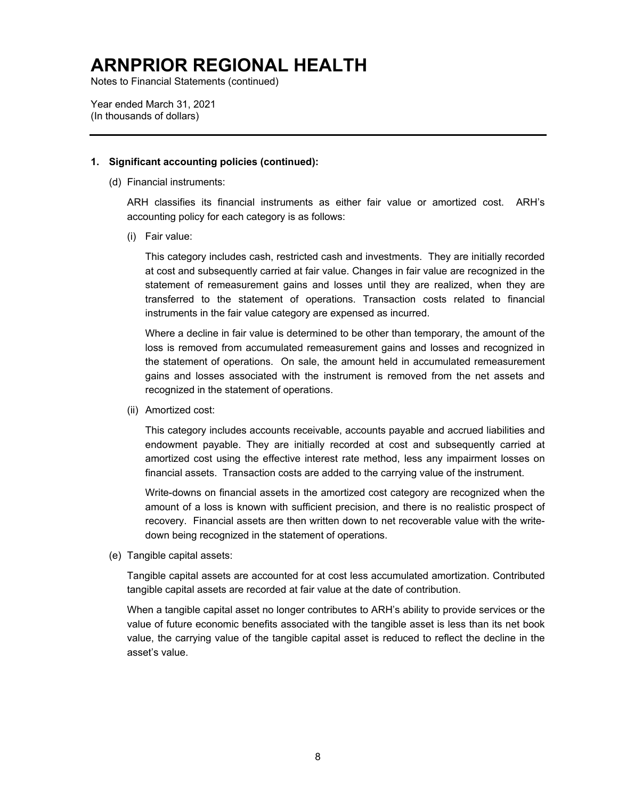Notes to Financial Statements (continued)

Year ended March 31, 2021 (In thousands of dollars)

#### **1. Significant accounting policies (continued):**

(d) Financial instruments:

ARH classifies its financial instruments as either fair value or amortized cost. ARH's accounting policy for each category is as follows:

(i) Fair value:

This category includes cash, restricted cash and investments. They are initially recorded at cost and subsequently carried at fair value. Changes in fair value are recognized in the statement of remeasurement gains and losses until they are realized, when they are transferred to the statement of operations. Transaction costs related to financial instruments in the fair value category are expensed as incurred.

Where a decline in fair value is determined to be other than temporary, the amount of the loss is removed from accumulated remeasurement gains and losses and recognized in the statement of operations. On sale, the amount held in accumulated remeasurement gains and losses associated with the instrument is removed from the net assets and recognized in the statement of operations.

(ii) Amortized cost:

This category includes accounts receivable, accounts payable and accrued liabilities and endowment payable. They are initially recorded at cost and subsequently carried at amortized cost using the effective interest rate method, less any impairment losses on financial assets. Transaction costs are added to the carrying value of the instrument.

Write-downs on financial assets in the amortized cost category are recognized when the amount of a loss is known with sufficient precision, and there is no realistic prospect of recovery. Financial assets are then written down to net recoverable value with the writedown being recognized in the statement of operations.

(e) Tangible capital assets:

Tangible capital assets are accounted for at cost less accumulated amortization. Contributed tangible capital assets are recorded at fair value at the date of contribution.

When a tangible capital asset no longer contributes to ARH's ability to provide services or the value of future economic benefits associated with the tangible asset is less than its net book value, the carrying value of the tangible capital asset is reduced to reflect the decline in the asset's value.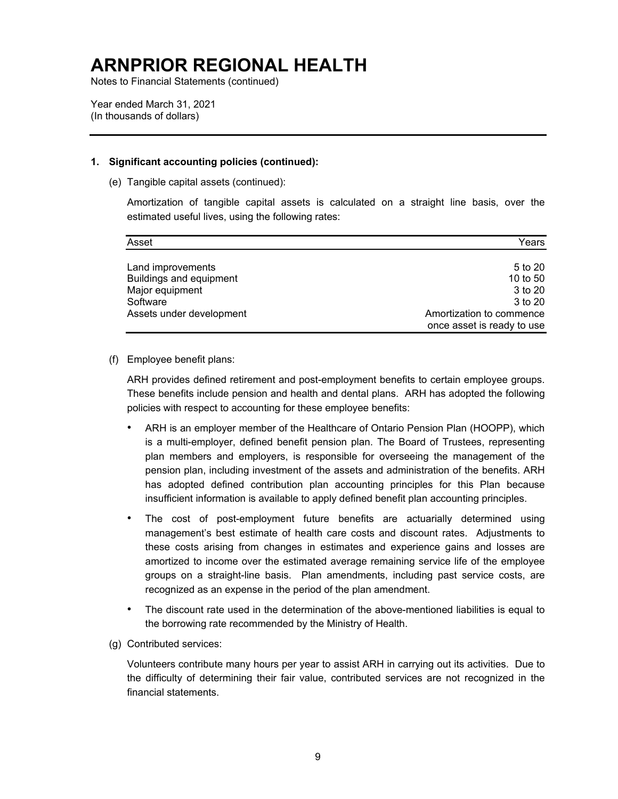Notes to Financial Statements (continued)

Year ended March 31, 2021 (In thousands of dollars)

#### **1. Significant accounting policies (continued):**

(e) Tangible capital assets (continued):

Amortization of tangible capital assets is calculated on a straight line basis, over the estimated useful lives, using the following rates:

| Asset                    | Years                      |
|--------------------------|----------------------------|
|                          |                            |
| Land improvements        | 5 to 20                    |
| Buildings and equipment  | 10 to 50                   |
| Major equipment          | 3 to 20                    |
| Software                 | 3 to 20                    |
| Assets under development | Amortization to commence   |
|                          | once asset is ready to use |

#### (f) Employee benefit plans:

ARH provides defined retirement and post-employment benefits to certain employee groups. These benefits include pension and health and dental plans. ARH has adopted the following policies with respect to accounting for these employee benefits:

- ARH is an employer member of the Healthcare of Ontario Pension Plan (HOOPP), which is a multi-employer, defined benefit pension plan. The Board of Trustees, representing plan members and employers, is responsible for overseeing the management of the pension plan, including investment of the assets and administration of the benefits. ARH has adopted defined contribution plan accounting principles for this Plan because insufficient information is available to apply defined benefit plan accounting principles.
- The cost of post-employment future benefits are actuarially determined using management's best estimate of health care costs and discount rates. Adjustments to these costs arising from changes in estimates and experience gains and losses are amortized to income over the estimated average remaining service life of the employee groups on a straight-line basis. Plan amendments, including past service costs, are recognized as an expense in the period of the plan amendment.
- The discount rate used in the determination of the above-mentioned liabilities is equal to the borrowing rate recommended by the Ministry of Health.
- (g) Contributed services:

Volunteers contribute many hours per year to assist ARH in carrying out its activities. Due to the difficulty of determining their fair value, contributed services are not recognized in the financial statements.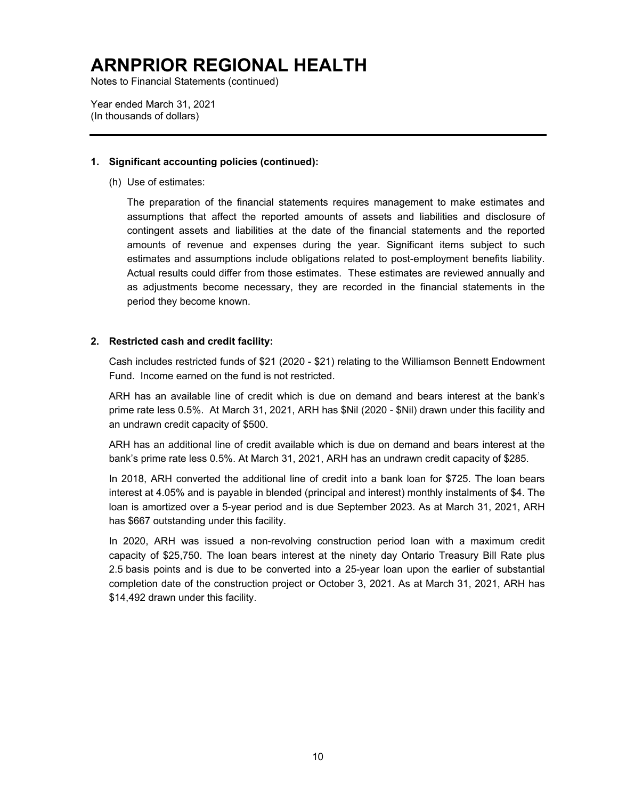Notes to Financial Statements (continued)

Year ended March 31, 2021 (In thousands of dollars)

#### **1. Significant accounting policies (continued):**

(h) Use of estimates:

The preparation of the financial statements requires management to make estimates and assumptions that affect the reported amounts of assets and liabilities and disclosure of contingent assets and liabilities at the date of the financial statements and the reported amounts of revenue and expenses during the year. Significant items subject to such estimates and assumptions include obligations related to post-employment benefits liability. Actual results could differ from those estimates. These estimates are reviewed annually and as adjustments become necessary, they are recorded in the financial statements in the period they become known.

#### **2. Restricted cash and credit facility:**

Cash includes restricted funds of \$21 (2020 - \$21) relating to the Williamson Bennett Endowment Fund. Income earned on the fund is not restricted.

ARH has an available line of credit which is due on demand and bears interest at the bank's prime rate less 0.5%. At March 31, 2021, ARH has \$Nil (2020 - \$Nil) drawn under this facility and an undrawn credit capacity of \$500.

ARH has an additional line of credit available which is due on demand and bears interest at the bank's prime rate less 0.5%. At March 31, 2021, ARH has an undrawn credit capacity of \$285.

In 2018, ARH converted the additional line of credit into a bank loan for \$725. The loan bears interest at 4.05% and is payable in blended (principal and interest) monthly instalments of \$4. The loan is amortized over a 5-year period and is due September 2023. As at March 31, 2021, ARH has \$667 outstanding under this facility.

In 2020, ARH was issued a non-revolving construction period loan with a maximum credit capacity of \$25,750. The loan bears interest at the ninety day Ontario Treasury Bill Rate plus 2.5 basis points and is due to be converted into a 25-year loan upon the earlier of substantial completion date of the construction project or October 3, 2021. As at March 31, 2021, ARH has \$14,492 drawn under this facility.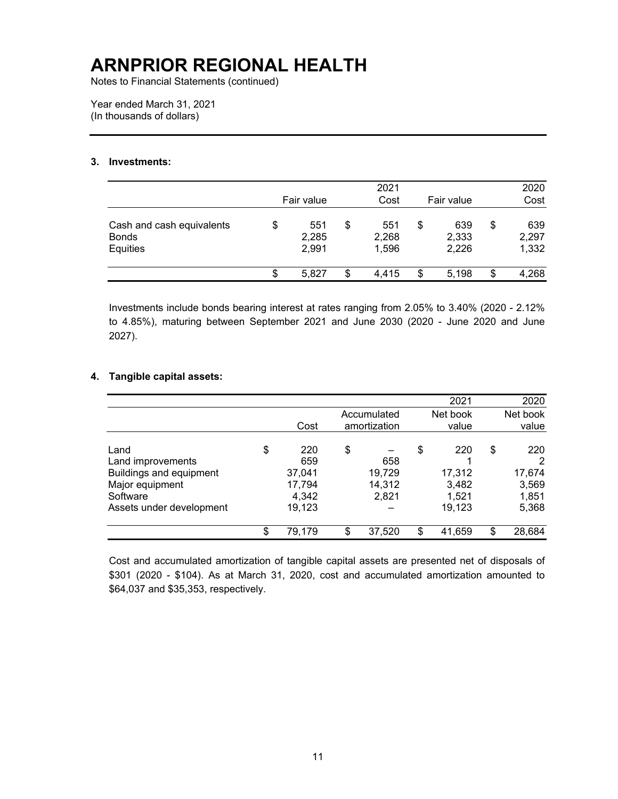Notes to Financial Statements (continued)

Year ended March 31, 2021 (In thousands of dollars)

#### **3. Investments:**

|                                                       | Fair value                  | 2021<br>Cost                |    | Fair value            | 2020<br>Cost                |
|-------------------------------------------------------|-----------------------------|-----------------------------|----|-----------------------|-----------------------------|
| Cash and cash equivalents<br><b>Bonds</b><br>Equities | \$<br>551<br>2,285<br>2,991 | \$<br>551<br>2,268<br>1,596 | \$ | 639<br>2,333<br>2,226 | \$<br>639<br>2,297<br>1,332 |
|                                                       | \$<br>5.827                 | \$<br>4,415                 | S  | 5,198                 | \$<br>4,268                 |

Investments include bonds bearing interest at rates ranging from 2.05% to 3.40% (2020 - 2.12% to 4.85%), maturing between September 2021 and June 2030 (2020 - June 2020 and June 2027).

### **4. Tangible capital assets:**

|                          |              |    |              | 2021         | 2020         |
|--------------------------|--------------|----|--------------|--------------|--------------|
|                          |              |    | Accumulated  | Net book     | Net book     |
|                          | Cost         |    | amortization | value        | value        |
|                          |              |    |              |              |              |
| Land                     | \$<br>220    | \$ |              | \$<br>220    | \$<br>220    |
| Land improvements        | 659          |    | 658          |              | 2            |
| Buildings and equipment  | 37,041       |    | 19,729       | 17,312       | 17,674       |
| Major equipment          | 17,794       |    | 14,312       | 3,482        | 3,569        |
| Software                 | 4,342        |    | 2,821        | 1,521        | 1,851        |
| Assets under development | 19,123       |    |              | 19,123       | 5,368        |
|                          | \$<br>79,179 | S  | 37,520       | \$<br>41,659 | \$<br>28,684 |

Cost and accumulated amortization of tangible capital assets are presented net of disposals of \$301 (2020 - \$104). As at March 31, 2020, cost and accumulated amortization amounted to \$64,037 and \$35,353, respectively.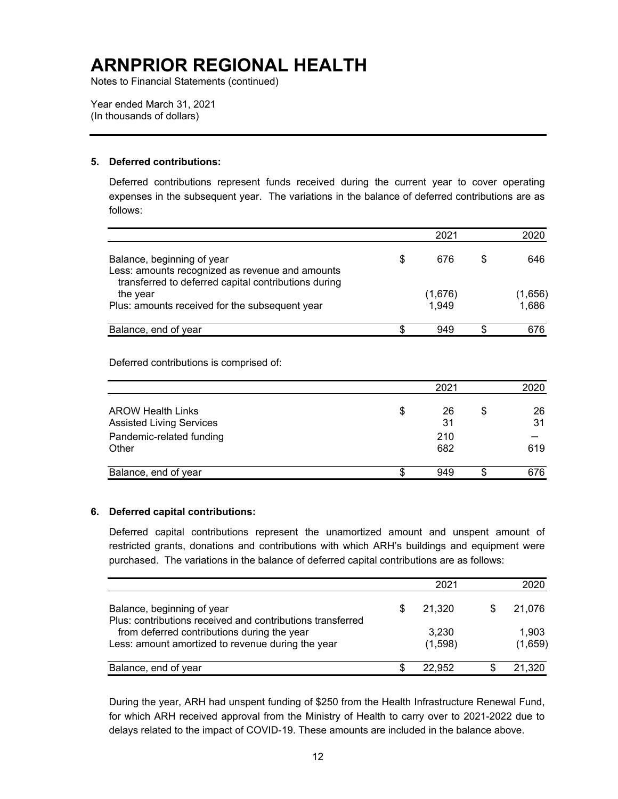Notes to Financial Statements (continued)

Year ended March 31, 2021 (In thousands of dollars)

### **5. Deferred contributions:**

Deferred contributions represent funds received during the current year to cover operating expenses in the subsequent year. The variations in the balance of deferred contributions are as follows:

|                                                                               |    | 2021    |   |         |
|-------------------------------------------------------------------------------|----|---------|---|---------|
| Balance, beginning of year<br>Less: amounts recognized as revenue and amounts | \$ | 676     | S | 646     |
| transferred to deferred capital contributions during<br>the year              |    | (1,676) |   | (1,656) |
| Plus: amounts received for the subsequent year                                |    | 1,949   |   | 1,686   |
| Balance, end of year                                                          | S. | 949     |   | 676     |

Deferred contributions is comprised of:

|                                                             | 2021           |   | 2020     |
|-------------------------------------------------------------|----------------|---|----------|
| <b>AROW Health Links</b><br><b>Assisted Living Services</b> | \$<br>26<br>31 | S | 26<br>31 |
| Pandemic-related funding                                    | 210            |   |          |
| Other                                                       | 682            |   | 619      |
| Balance, end of year                                        | \$<br>949      | S | 676      |

#### **6. Deferred capital contributions:**

Deferred capital contributions represent the unamortized amount and unspent amount of restricted grants, donations and contributions with which ARH's buildings and equipment were purchased. The variations in the balance of deferred capital contributions are as follows:

|                                                                                                  |   | 2021             | 2020             |
|--------------------------------------------------------------------------------------------------|---|------------------|------------------|
| Balance, beginning of year<br>Plus: contributions received and contributions transferred         | S | 21.320           | 21.076           |
| from deferred contributions during the year<br>Less: amount amortized to revenue during the year |   | 3,230<br>(1,598) | 1,903<br>(1,659) |
| Balance, end of year                                                                             |   | 22.952           | 21,320           |

During the year, ARH had unspent funding of \$250 from the Health Infrastructure Renewal Fund, for which ARH received approval from the Ministry of Health to carry over to 2021-2022 due to delays related to the impact of COVID-19. These amounts are included in the balance above.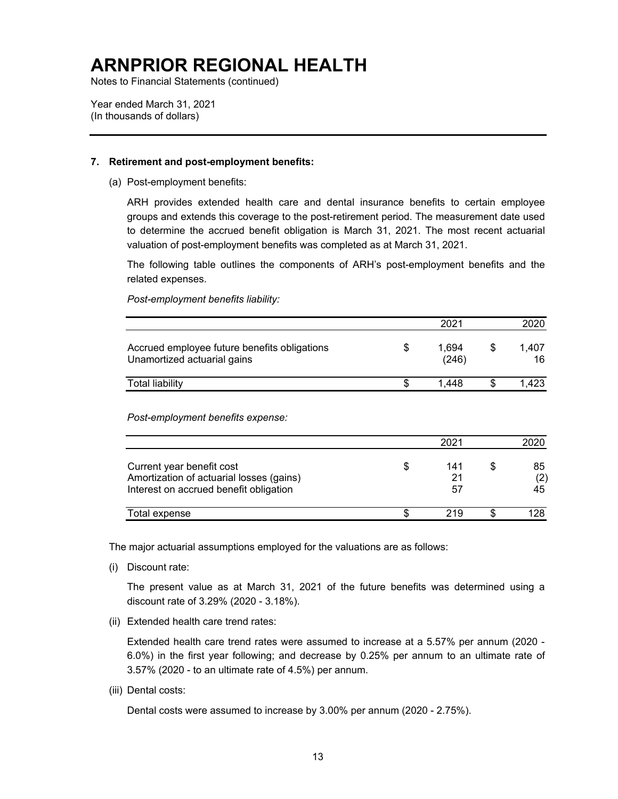Notes to Financial Statements (continued)

Year ended March 31, 2021 (In thousands of dollars)

#### **7. Retirement and post-employment benefits:**

(a) Post-employment benefits:

ARH provides extended health care and dental insurance benefits to certain employee groups and extends this coverage to the post-retirement period. The measurement date used to determine the accrued benefit obligation is March 31, 2021. The most recent actuarial valuation of post-employment benefits was completed as at March 31, 2021.

The following table outlines the components of ARH's post-employment benefits and the related expenses.

*Post-employment benefits liability:* 

|                                                                             | 2021           | 2020        |
|-----------------------------------------------------------------------------|----------------|-------------|
| Accrued employee future benefits obligations<br>Unamortized actuarial gains | 1.694<br>(246) | 1.407<br>16 |
| <b>Total liability</b>                                                      | 1.448          | 1.423       |

*Post-employment benefits expense:* 

|                                                                                                                 | 2021            |                 |
|-----------------------------------------------------------------------------------------------------------------|-----------------|-----------------|
| Current year benefit cost<br>Amortization of actuarial losses (gains)<br>Interest on accrued benefit obligation | 141<br>21<br>57 | 85<br>(2)<br>45 |
| Total expense                                                                                                   | 219             |                 |

The major actuarial assumptions employed for the valuations are as follows:

(i) Discount rate:

The present value as at March 31, 2021 of the future benefits was determined using a discount rate of 3.29% (2020 - 3.18%).

(ii) Extended health care trend rates:

Extended health care trend rates were assumed to increase at a 5.57% per annum (2020 - 6.0%) in the first year following; and decrease by 0.25% per annum to an ultimate rate of 3.57% (2020 - to an ultimate rate of 4.5%) per annum.

(iii) Dental costs:

Dental costs were assumed to increase by 3.00% per annum (2020 - 2.75%).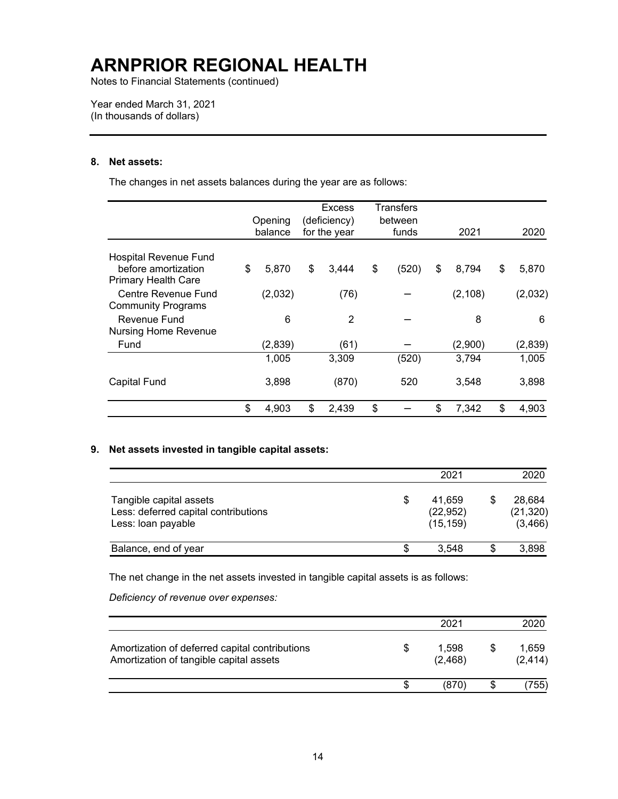Notes to Financial Statements (continued)

Year ended March 31, 2021 (In thousands of dollars)

### **8. Net assets:**

The changes in net assets balances during the year are as follows:

|                                                   |             | <b>Excess</b> | Transfers   |             |             |
|---------------------------------------------------|-------------|---------------|-------------|-------------|-------------|
|                                                   | Opening     | (deficiency)  | between     |             |             |
|                                                   | balance     | for the year  | funds       | 2021        | 2020        |
| Hospital Revenue Fund                             |             |               |             |             |             |
| before amortization<br><b>Primary Health Care</b> | \$<br>5,870 | \$<br>3,444   | \$<br>(520) | \$<br>8,794 | \$<br>5,870 |
| Centre Revenue Fund                               | (2,032)     | (76)          |             | (2, 108)    | (2,032)     |
| <b>Community Programs</b>                         |             |               |             |             |             |
| Revenue Fund                                      | 6           | 2             |             | 8           | 6           |
| <b>Nursing Home Revenue</b>                       |             |               |             |             |             |
| Fund                                              | (2,839)     | (61)          |             | (2,900)     | (2,839)     |
|                                                   | 1,005       | 3,309         | (520)       | 3,794       | 1,005       |
| <b>Capital Fund</b>                               | 3,898       | (870)         | 520         | 3,548       | 3,898       |
|                                                   | \$<br>4,903 | \$<br>2,439   | \$          | \$<br>7,342 | \$<br>4,903 |

### **9. Net assets invested in tangible capital assets:**

|                                                                                       |    | 2021                             | 2020                            |
|---------------------------------------------------------------------------------------|----|----------------------------------|---------------------------------|
| Tangible capital assets<br>Less: deferred capital contributions<br>Less: loan payable | \$ | 41.659<br>(22, 952)<br>(15, 159) | 28,684<br>(21, 320)<br>(3, 466) |
| Balance, end of year                                                                  | S  | 3.548                            | 3,898                           |

The net change in the net assets invested in tangible capital assets is as follows:

*Deficiency of revenue over expenses:* 

|                                                                                           |   | 2021             |   | 2020              |
|-------------------------------------------------------------------------------------------|---|------------------|---|-------------------|
| Amortization of deferred capital contributions<br>Amortization of tangible capital assets | S | 1.598<br>(2,468) | S | 1,659<br>(2, 414) |
|                                                                                           | S | (870)            |   | 755)              |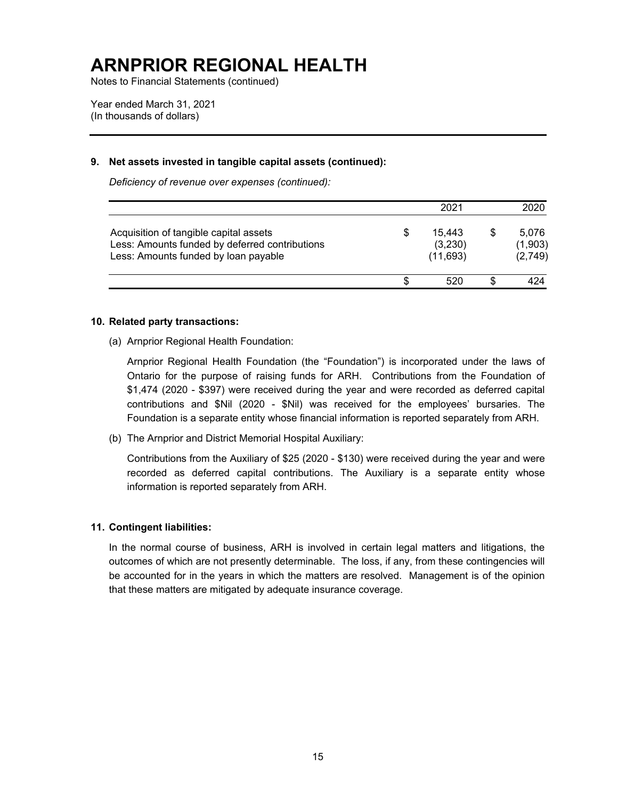Notes to Financial Statements (continued)

Year ended March 31, 2021 (In thousands of dollars)

#### **9. Net assets invested in tangible capital assets (continued):**

*Deficiency of revenue over expenses (continued):* 

|                                                                                                                                  |   | 2021                           | 2020                        |
|----------------------------------------------------------------------------------------------------------------------------------|---|--------------------------------|-----------------------------|
| Acquisition of tangible capital assets<br>Less: Amounts funded by deferred contributions<br>Less: Amounts funded by loan payable | S | 15.443<br>(3,230)<br>(11, 693) | 5,076<br>(1,903)<br>(2,749) |
|                                                                                                                                  |   | 520                            | 424                         |

#### **10. Related party transactions:**

(a) Arnprior Regional Health Foundation:

Arnprior Regional Health Foundation (the "Foundation") is incorporated under the laws of Ontario for the purpose of raising funds for ARH. Contributions from the Foundation of \$1,474 (2020 - \$397) were received during the year and were recorded as deferred capital contributions and \$Nil (2020 - \$Nil) was received for the employees' bursaries. The Foundation is a separate entity whose financial information is reported separately from ARH.

(b) The Arnprior and District Memorial Hospital Auxiliary:

Contributions from the Auxiliary of \$25 (2020 - \$130) were received during the year and were recorded as deferred capital contributions. The Auxiliary is a separate entity whose information is reported separately from ARH.

#### **11. Contingent liabilities:**

In the normal course of business, ARH is involved in certain legal matters and litigations, the outcomes of which are not presently determinable. The loss, if any, from these contingencies will be accounted for in the years in which the matters are resolved. Management is of the opinion that these matters are mitigated by adequate insurance coverage.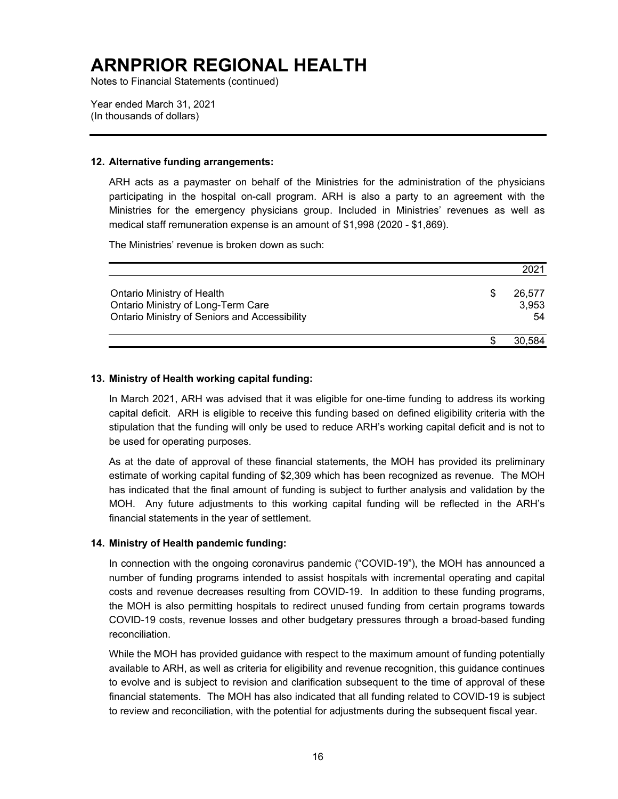Notes to Financial Statements (continued)

Year ended March 31, 2021 (In thousands of dollars)

#### **12. Alternative funding arrangements:**

ARH acts as a paymaster on behalf of the Ministries for the administration of the physicians participating in the hospital on-call program. ARH is also a party to an agreement with the Ministries for the emergency physicians group. Included in Ministries' revenues as well as medical staff remuneration expense is an amount of \$1,998 (2020 - \$1,869).

The Ministries' revenue is broken down as such:

|                                                                                                                   | 2021                  |
|-------------------------------------------------------------------------------------------------------------------|-----------------------|
| Ontario Ministry of Health<br>Ontario Ministry of Long-Term Care<br>Ontario Ministry of Seniors and Accessibility | 26,577<br>3,953<br>54 |
|                                                                                                                   | 30.584                |

#### **13. Ministry of Health working capital funding:**

In March 2021, ARH was advised that it was eligible for one-time funding to address its working capital deficit. ARH is eligible to receive this funding based on defined eligibility criteria with the stipulation that the funding will only be used to reduce ARH's working capital deficit and is not to be used for operating purposes.

As at the date of approval of these financial statements, the MOH has provided its preliminary estimate of working capital funding of \$2,309 which has been recognized as revenue. The MOH has indicated that the final amount of funding is subject to further analysis and validation by the MOH. Any future adjustments to this working capital funding will be reflected in the ARH's financial statements in the year of settlement.

#### **14. Ministry of Health pandemic funding:**

In connection with the ongoing coronavirus pandemic ("COVID-19"), the MOH has announced a number of funding programs intended to assist hospitals with incremental operating and capital costs and revenue decreases resulting from COVID-19. In addition to these funding programs, the MOH is also permitting hospitals to redirect unused funding from certain programs towards COVID-19 costs, revenue losses and other budgetary pressures through a broad-based funding reconciliation.

While the MOH has provided guidance with respect to the maximum amount of funding potentially available to ARH, as well as criteria for eligibility and revenue recognition, this guidance continues to evolve and is subject to revision and clarification subsequent to the time of approval of these financial statements. The MOH has also indicated that all funding related to COVID-19 is subject to review and reconciliation, with the potential for adjustments during the subsequent fiscal year.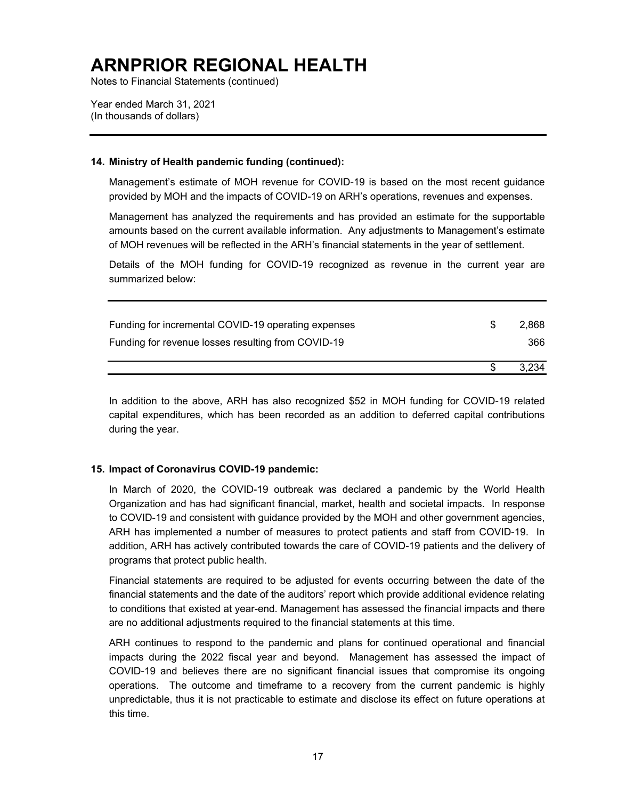Notes to Financial Statements (continued)

Year ended March 31, 2021 (In thousands of dollars)

#### **14. Ministry of Health pandemic funding (continued):**

Management's estimate of MOH revenue for COVID-19 is based on the most recent guidance provided by MOH and the impacts of COVID-19 on ARH's operations, revenues and expenses.

Management has analyzed the requirements and has provided an estimate for the supportable amounts based on the current available information. Any adjustments to Management's estimate of MOH revenues will be reflected in the ARH's financial statements in the year of settlement.

Details of the MOH funding for COVID-19 recognized as revenue in the current year are summarized below:

|                                                     | 3.234       |
|-----------------------------------------------------|-------------|
| Funding for revenue losses resulting from COVID-19  | 366         |
| Funding for incremental COVID-19 operating expenses | \$<br>2.868 |

In addition to the above, ARH has also recognized \$52 in MOH funding for COVID-19 related capital expenditures, which has been recorded as an addition to deferred capital contributions during the year.

#### **15. Impact of Coronavirus COVID-19 pandemic:**

In March of 2020, the COVID-19 outbreak was declared a pandemic by the World Health Organization and has had significant financial, market, health and societal impacts. In response to COVID-19 and consistent with guidance provided by the MOH and other government agencies, ARH has implemented a number of measures to protect patients and staff from COVID-19. In addition, ARH has actively contributed towards the care of COVID-19 patients and the delivery of programs that protect public health.

Financial statements are required to be adjusted for events occurring between the date of the financial statements and the date of the auditors' report which provide additional evidence relating to conditions that existed at year-end. Management has assessed the financial impacts and there are no additional adjustments required to the financial statements at this time.

ARH continues to respond to the pandemic and plans for continued operational and financial impacts during the 2022 fiscal year and beyond. Management has assessed the impact of COVID-19 and believes there are no significant financial issues that compromise its ongoing operations. The outcome and timeframe to a recovery from the current pandemic is highly unpredictable, thus it is not practicable to estimate and disclose its effect on future operations at this time.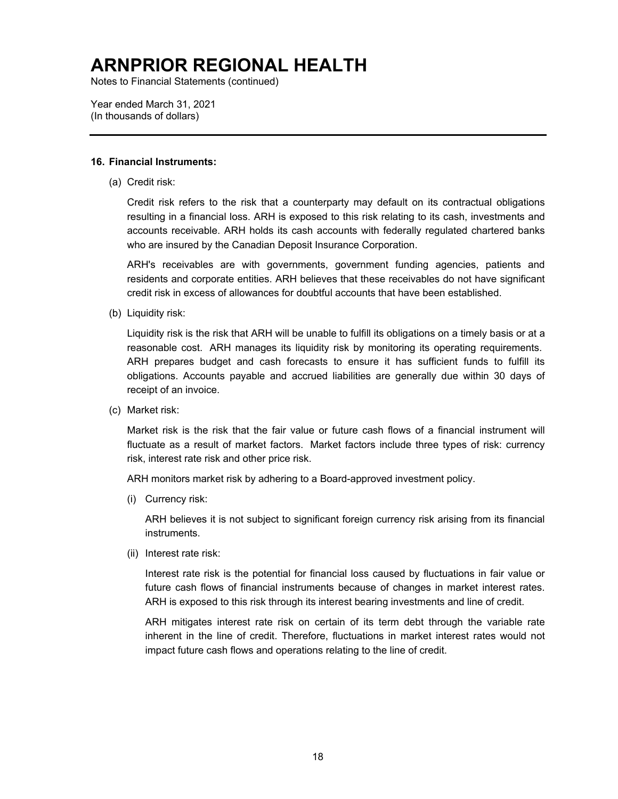Notes to Financial Statements (continued)

Year ended March 31, 2021 (In thousands of dollars)

#### **16. Financial Instruments:**

(a) Credit risk:

Credit risk refers to the risk that a counterparty may default on its contractual obligations resulting in a financial loss. ARH is exposed to this risk relating to its cash, investments and accounts receivable. ARH holds its cash accounts with federally regulated chartered banks who are insured by the Canadian Deposit Insurance Corporation.

ARH's receivables are with governments, government funding agencies, patients and residents and corporate entities. ARH believes that these receivables do not have significant credit risk in excess of allowances for doubtful accounts that have been established.

(b) Liquidity risk:

Liquidity risk is the risk that ARH will be unable to fulfill its obligations on a timely basis or at a reasonable cost. ARH manages its liquidity risk by monitoring its operating requirements. ARH prepares budget and cash forecasts to ensure it has sufficient funds to fulfill its obligations. Accounts payable and accrued liabilities are generally due within 30 days of receipt of an invoice.

(c) Market risk:

Market risk is the risk that the fair value or future cash flows of a financial instrument will fluctuate as a result of market factors. Market factors include three types of risk: currency risk, interest rate risk and other price risk.

ARH monitors market risk by adhering to a Board-approved investment policy.

(i) Currency risk:

ARH believes it is not subject to significant foreign currency risk arising from its financial instruments.

(ii) Interest rate risk:

Interest rate risk is the potential for financial loss caused by fluctuations in fair value or future cash flows of financial instruments because of changes in market interest rates. ARH is exposed to this risk through its interest bearing investments and line of credit.

ARH mitigates interest rate risk on certain of its term debt through the variable rate inherent in the line of credit. Therefore, fluctuations in market interest rates would not impact future cash flows and operations relating to the line of credit.